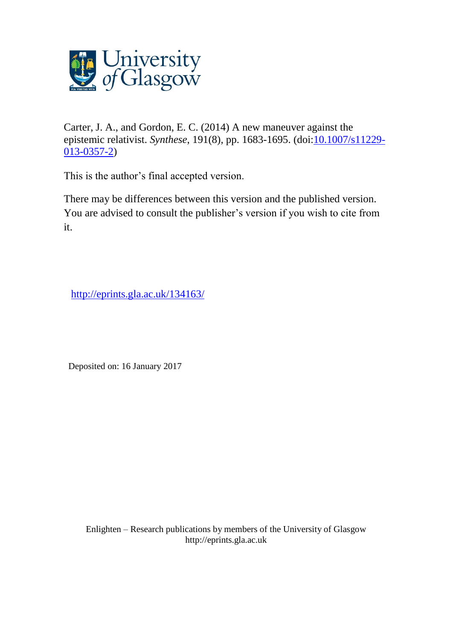

Carter, J. A., and Gordon, E. C. (2014) A new maneuver against the epistemic relativist. *Synthese*, 191(8), pp. 1683-1695. (doi[:10.1007/s11229-](http://dx.doi.org/10.1007/s11229-013-0357-2) [013-0357-2\)](http://dx.doi.org/10.1007/s11229-013-0357-2)

This is the author's final accepted version.

There may be differences between this version and the published version. You are advised to consult the publisher's version if you wish to cite from it.

[http://eprints.gla.ac.uk/134163/](http://eprints.gla.ac.uk/134161/)

Deposited on: 16 January 2017

Enlighten – Research publications by members of the University of Glasgo[w](http://eprints.gla.ac.uk/) [http://eprints.gla.ac.uk](http://eprints.gla.ac.uk/)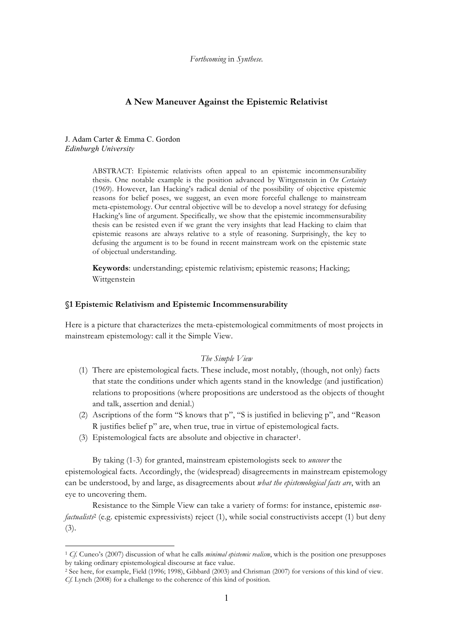*Forthcoming* in *Synthese.*

# **A New Maneuver Against the Epistemic Relativist**

### J. Adam Carter & Emma C. Gordon *Edinburgh University*

 $\overline{a}$ 

ABSTRACT: Epistemic relativists often appeal to an epistemic incommensurability thesis. One notable example is the position advanced by Wittgenstein in *On Certainty* (1969). However, Ian Hacking's radical denial of the possibility of objective epistemic reasons for belief poses, we suggest, an even more forceful challenge to mainstream meta-epistemology. Our central objective will be to develop a novel strategy for defusing Hacking's line of argument. Specifically, we show that the epistemic incommensurability thesis can be resisted even if we grant the very insights that lead Hacking to claim that epistemic reasons are always relative to a style of reasoning. Surprisingly, the key to defusing the argument is to be found in recent mainstream work on the epistemic state of objectual understanding.

**Keywords**: understanding; epistemic relativism; epistemic reasons; Hacking; Wittgenstein

## **§1 Epistemic Relativism and Epistemic Incommensurability**

Here is a picture that characterizes the meta-epistemological commitments of most projects in mainstream epistemology: call it the Simple View.

#### *The Simple View*

- (1) There are epistemological facts. These include, most notably, (though, not only) facts that state the conditions under which agents stand in the knowledge (and justification) relations to propositions (where propositions are understood as the objects of thought and talk, assertion and denial.)
- (2) Ascriptions of the form "S knows that p", "S is justified in believing p", and "Reason R justifies belief p" are, when true, true in virtue of epistemological facts.
- (3) Epistemological facts are absolute and objective in character1.

By taking (1-3) for granted, mainstream epistemologists seek to *uncover* the epistemological facts. Accordingly, the (widespread) disagreements in mainstream epistemology can be understood, by and large, as disagreements about *what the epistemological facts are*, with an eye to uncovering them.

Resistance to the Simple View can take a variety of forms: for instance, epistemic *nonfactualists<sup>2</sup>* (e.g. epistemic expressivists) reject (1), while social constructivists accept (1) but deny (3).

<sup>1</sup> *Cf.* Cuneo's (2007) discussion of what he calls *minimal epistemic realism*, which is the position one presupposes by taking ordinary epistemological discourse at face value.

<sup>2</sup> See here, for example, Field (1996; 1998), Gibbard (2003) and Chrisman (2007) for versions of this kind of view. *Cf.* Lynch (2008) for a challenge to the coherence of this kind of position.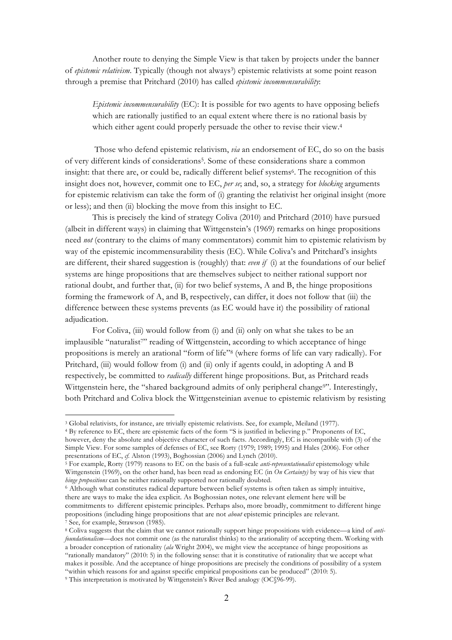Another route to denying the Simple View is that taken by projects under the banner of *epistemic relativism*. Typically (though not always<sup>3</sup>) epistemic relativists at some point reason through a premise that Pritchard (2010) has called *epistemic incommensurability*:

*Epistemic incommensurability* (EC): It is possible for two agents to have opposing beliefs which are rationally justified to an equal extent where there is no rational basis by which either agent could properly persuade the other to revise their view.<sup>4</sup>

Those who defend epistemic relativism, *via* an endorsement of EC, do so on the basis of very different kinds of considerations<sup>5</sup>. Some of these considerations share a common insight: that there are, or could be, radically different belief systems<sup>6</sup>. The recognition of this insight does not, however, commit one to EC, *per se*; and, so, a strategy for *blocking* arguments for epistemic relativism can take the form of (i) granting the relativist her original insight (more or less); and then (ii) blocking the move from this insight to EC.

This is precisely the kind of strategy Coliva (2010) and Pritchard (2010) have pursued (albeit in different ways) in claiming that Wittgenstein's (1969) remarks on hinge propositions need *not* (contrary to the claims of many commentators) commit him to epistemic relativism by way of the epistemic incommensurability thesis (EC). While Coliva's and Pritchard's insights are different, their shared suggestion is (roughly) that: *even if* (i) at the foundations of our belief systems are hinge propositions that are themselves subject to neither rational support nor rational doubt, and further that, (ii) for two belief systems, A and B, the hinge propositions forming the framework of A, and B, respectively, can differ, it does not follow that (iii) the difference between these systems prevents (as EC would have it) the possibility of rational adjudication.

For Coliva, (iii) would follow from (i) and (ii) only on what she takes to be an implausible "naturalist" reading of Wittgenstein, according to which acceptance of hinge propositions is merely an arational "form of life"8 (where forms of life can vary radically). For Pritchard, (iii) would follow from (i) and (ii) only if agents could, in adopting A and B respectively, be committed to *radically* different hinge propositions. But, as Pritchard reads Wittgenstein here, the "shared background admits of only peripheral change<sup>9"</sup>. Interestingly, both Pritchard and Coliva block the Wittgensteinian avenue to epistemic relativism by resisting

<sup>3</sup> Global relativists, for instance, are trivially epistemic relativists. See, for example, Meiland (1977).

<sup>4</sup> By reference to EC, there are epistemic facts of the form "S is justified in believing p." Proponents of EC, however, deny the absolute and objective character of such facts. Accordingly, EC is incompatible with (3) of the Simple View. For some samples of defenses of EC, see Rorty (1979; 1989; 1995) and Hales (2006). For other presentations of EC, *cf.* Alston (1993), Boghossian (2006) and Lynch (2010).

<sup>5</sup> For example, Rorty (1979) reasons to EC on the basis of a full-scale *anti-representationalist* epistemology while Wittgenstein (1969), on the other hand, has been read as endorsing EC (in *On Certainty*) by way of his view that *hinge propositions* can be neither rationally supported nor rationally doubted.

<sup>6</sup> Although what constitutes radical departure between belief systems is often taken as simply intuitive, there are ways to make the idea explicit. As Boghossian notes, one relevant element here will be commitments to different epistemic principles. Perhaps also, more broadly, commitment to different hinge propositions (including hinge propositions that are not *about* epistemic principles are relevant. 7 See, for example, Strawson (1985).

<sup>8</sup> Coliva suggests that the claim that we cannot rationally support hinge propositions with evidence—a kind of *antifoundationalism*—does not commit one (as the naturalist thinks) to the arationality of accepting them. Working with a broader conception of rationality (*ala* Wright 2004), we might view the acceptance of hinge propositions as "rationally mandatory" (2010: 5) in the following sense: that it is constitutive of rationality that we accept what makes it possible. And the acceptance of hinge propositions are precisely the conditions of possibility of a system "within which reasons for and against specific empirical propositions can be produced" (2010: 5). <sup>9</sup> This interpretation is motivated by Wittgenstein's River Bed analogy (OC§96-99).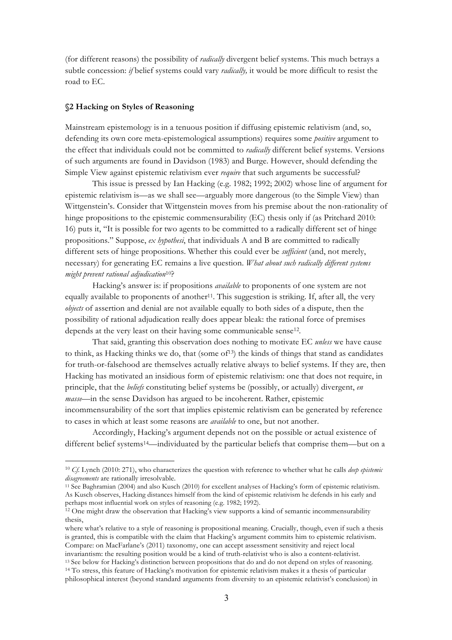(for different reasons) the possibility of *radically* divergent belief systems. This much betrays a subtle concession: *if* belief systems could vary *radically,* it would be more difficult to resist the road to EC.

### **§2 Hacking on Styles of Reasoning**

 $\overline{a}$ 

Mainstream epistemology is in a tenuous position if diffusing epistemic relativism (and, so, defending its own core meta-epistemological assumptions) requires some *positive* argument to the effect that individuals could not be committed to *radically* different belief systems. Versions of such arguments are found in Davidson (1983) and Burge. However, should defending the Simple View against epistemic relativism ever *require* that such arguments be successful?

This issue is pressed by Ian Hacking (e.g. 1982; 1992; 2002) whose line of argument for epistemic relativism is—as we shall see—arguably more dangerous (to the Simple View) than Wittgenstein's. Consider that Wittgenstein moves from his premise about the non-rationality of hinge propositions to the epistemic commensurability (EC) thesis only if (as Pritchard 2010: 16) puts it, "It is possible for two agents to be committed to a radically different set of hinge propositions." Suppose, *ex hypothesi*, that individuals A and B are committed to radically different sets of hinge propositions. Whether this could ever be *sufficient* (and, not merely, necessary) for generating EC remains a live question. *What about such radically different systems might prevent rational adjudication*10?

Hacking's answer is: if propositions *available* to proponents of one system are not equally available to proponents of another<sup>11</sup>. This suggestion is striking. If, after all, the very *objects* of assertion and denial are not available equally to both sides of a dispute, then the possibility of rational adjudication really does appear bleak: the rational force of premises depends at the very least on their having some communicable sense<sup>12</sup>.

That said, granting this observation does nothing to motivate EC *unless* we have cause to think, as Hacking thinks we do, that (some of<sup>13</sup>) the kinds of things that stand as candidates for truth-or-falsehood are themselves actually relative always to belief systems. If they are, then Hacking has motivated an insidious form of epistemic relativism: one that does not require, in principle, that the *beliefs* constituting belief systems be (possibly, or actually) divergent, *en masse*—in the sense Davidson has argued to be incoherent. Rather, epistemic incommensurability of the sort that implies epistemic relativism can be generated by reference to cases in which at least some reasons are *available* to one, but not another.

Accordingly, Hacking's argument depends not on the possible or actual existence of different belief systems<sup>14</sup>—individuated by the particular beliefs that comprise them—but on a

<sup>10</sup> *Cf.* Lynch (2010: 271), who characterizes the question with reference to whether what he calls *deep epistemic* 

<sup>&</sup>lt;sup>11</sup> See Baghramian (2004) and also Kusch (2010) for excellent analyses of Hacking's form of epistemic relativism. As Kusch observes, Hacking distances himself from the kind of epistemic relativism he defends in his early and perhaps most influential work on styles of reasoning (e.g. 1982; 1992).

 $12$  One might draw the observation that Hacking's view supports a kind of semantic incommensurability thesis,

where what's relative to a style of reasoning is propositional meaning. Crucially, though, even if such a thesis is granted, this is compatible with the claim that Hacking's argument commits him to epistemic relativism. Compare: on MacFarlane's (2011) taxonomy, one can accept assessment sensitivity and reject local <sup>13</sup> See below for Hacking's distinction between propositions that do and do not depend on styles of reasoning.

<sup>14</sup> To stress, this feature of Hacking's motivation for epistemic relativism makes it a thesis of particular philosophical interest (beyond standard arguments from diversity to an epistemic relativist's conclusion) in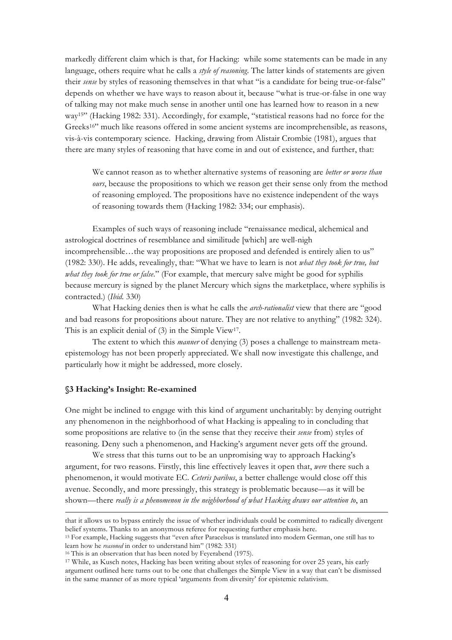markedly different claim which is that, for Hacking: while some statements can be made in any language, others require what he calls a *style of reasoning*. The latter kinds of statements are given their *sense* by styles of reasoning themselves in that what "is a candidate for being true-or-false" depends on whether we have ways to reason about it, because "what is true-or-false in one way of talking may not make much sense in another until one has learned how to reason in a new way15" (Hacking 1982: 331). Accordingly, for example, "statistical reasons had no force for the Greeks<sup>16"</sup> much like reasons offered in some ancient systems are incomprehensible, as reasons, vis-à-vis contemporary science. Hacking, drawing from Alistair Crombie (1981), argues that there are many styles of reasoning that have come in and out of existence, and further, that:

We cannot reason as to whether alternative systems of reasoning are *better or worse than ours*, because the propositions to which we reason get their sense only from the method of reasoning employed. The propositions have no existence independent of the ways of reasoning towards them (Hacking 1982: 334; our emphasis).

Examples of such ways of reasoning include "renaissance medical, alchemical and astrological doctrines of resemblance and similitude [which] are well-nigh incomprehensible…the way propositions are proposed and defended is entirely alien to us" (1982: 330). He adds, revealingly, that: "What we have to learn is not *what they took for true, but what they took for true or false*." (For example, that mercury salve might be good for syphilis because mercury is signed by the planet Mercury which signs the marketplace, where syphilis is contracted.) (*Ibid.* 330)

What Hacking denies then is what he calls the *arch-rationalist* view that there are "good and bad reasons for propositions about nature. They are not relative to anything" (1982: 324). This is an explicit denial of (3) in the Simple View<sup>17</sup>.

The extent to which this *manner* of denying (3) poses a challenge to mainstream metaepistemology has not been properly appreciated. We shall now investigate this challenge, and particularly how it might be addressed, more closely.

### **§3 Hacking's Insight: Re-examined**

 $\overline{a}$ 

One might be inclined to engage with this kind of argument uncharitably: by denying outright any phenomenon in the neighborhood of what Hacking is appealing to in concluding that some propositions are relative to (in the sense that they receive their *sense* from) styles of reasoning. Deny such a phenomenon, and Hacking's argument never gets off the ground.

We stress that this turns out to be an unpromising way to approach Hacking's argument, for two reasons. Firstly, this line effectively leaves it open that, *were* there such a phenomenon, it would motivate EC. *Ceteris paribus*, a better challenge would close off this avenue. Secondly, and more pressingly, this strategy is problematic because—as it will be shown—there *really is a phenomenon in the neighborhood of what Hacking draws our attention to*, an

that it allows us to bypass entirely the issue of whether individuals could be committed to radically divergent belief systems. Thanks to an anonymous referee for requesting further emphasis here.

<sup>15</sup> For example, Hacking suggests that "even after Paracelsus is translated into modern German, one still has to learn how he *reasoned* in order to understand him" (1982: 331)

<sup>&</sup>lt;sup>16</sup> This is an observation that has been noted by Feyerabend (1975).

<sup>17</sup> While, as Kusch notes, Hacking has been writing about styles of reasoning for over 25 years, his early argument outlined here turns out to be one that challenges the Simple View in a way that can't be dismissed in the same manner of as more typical 'arguments from diversity' for epistemic relativism.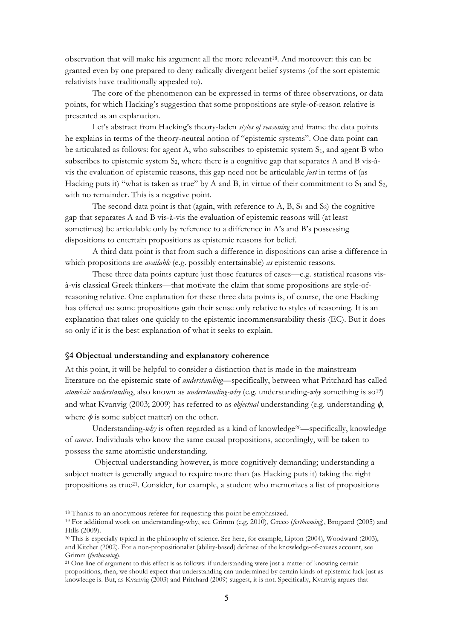observation that will make his argument all the more relevant<sup>18</sup>. And moreover: this can be granted even by one prepared to deny radically divergent belief systems (of the sort epistemic relativists have traditionally appealed to).

The core of the phenomenon can be expressed in terms of three observations, or data points, for which Hacking's suggestion that some propositions are style-of-reason relative is presented as an explanation.

Let's abstract from Hacking's theory-laden *styles of reasoning* and frame the data points he explains in terms of the theory-neutral notion of "epistemic systems". One data point can be articulated as follows: for agent A, who subscribes to epistemic system  $S_1$ , and agent B who subscribes to epistemic system S2, where there is a cognitive gap that separates A and B vis-àvis the evaluation of epistemic reasons, this gap need not be articulable *just* in terms of (as Hacking puts it) "what is taken as true" by A and B, in virtue of their commitment to  $S_1$  and  $S_2$ , with no remainder. This is a negative point.

The second data point is that (again, with reference to A, B,  $S_1$  and  $S_2$ ) the cognitive gap that separates A and B vis-à-vis the evaluation of epistemic reasons will (at least sometimes) be articulable only by reference to a difference in A's and B's possessing dispositions to entertain propositions as epistemic reasons for belief.

A third data point is that from such a difference in dispositions can arise a difference in which propositions are *available* (e.g. possibly entertainable) *as* epistemic reasons.

These three data points capture just those features of cases—e.g. statistical reasons visà-vis classical Greek thinkers—that motivate the claim that some propositions are style-ofreasoning relative. One explanation for these three data points is, of course, the one Hacking has offered us: some propositions gain their sense only relative to styles of reasoning. It is an explanation that takes one quickly to the epistemic incommensurability thesis (EC). But it does so only if it is the best explanation of what it seeks to explain.

# **§4 Objectual understanding and explanatory coherence**

At this point, it will be helpful to consider a distinction that is made in the mainstream literature on the epistemic state of *understanding—*specifically, between what Pritchard has called *atomistic understanding*, also known as *understanding-why* (e.g. understanding-*why* something is so19) and what Kvanvig (2003; 2009) has referred to as *objectual* understanding (e.g. understanding φ, where  $\phi$  is some subject matter) on the other.

Understanding-*why* is often regarded as a kind of knowledge<sup>20</sup>—specifically, knowledge of *causes*. Individuals who know the same causal propositions, accordingly, will be taken to possess the same atomistic understanding.

Objectual understanding however, is more cognitively demanding; understanding a subject matter is generally argued to require more than (as Hacking puts it) taking the right propositions as true21. Consider, for example, a student who memorizes a list of propositions

<sup>18</sup> Thanks to an anonymous referee for requesting this point be emphasized.

<sup>19</sup> For additional work on understanding-why, see Grimm (e.g. 2010), Greco (*forthcoming*), Brogaard (2005) and Hills (2009).

<sup>20</sup> This is especially typical in the philosophy of science. See here, for example, Lipton (2004), Woodward (2003), and Kitcher (2002). For a non-propositionalist (ability-based) defense of the knowledge-of-causes account, see Grimm (*forthcoming*).

<sup>21</sup> One line of argument to this effect is as follows: if understanding were just a matter of knowing certain propositions, then, we should expect that understanding can undermined by certain kinds of epistemic luck just as knowledge is. But, as Kvanvig (2003) and Pritchard (2009) suggest, it is not. Specifically, Kvanvig argues that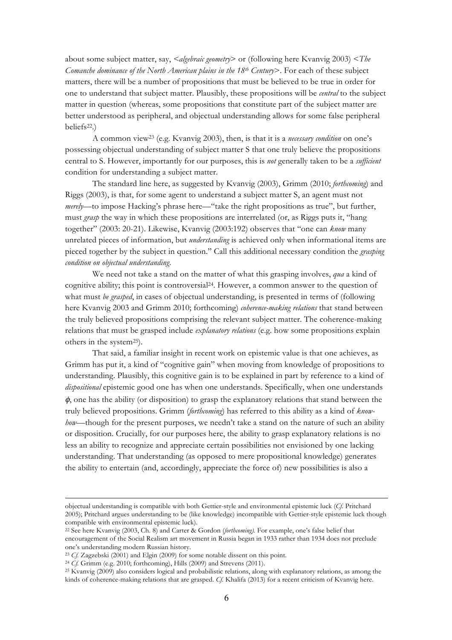about some subject matter, say, *<algebraic geometry*> or (following here Kvanvig 2003) <*The Comanche dominance of the North American plains in the 18th Century*>. For each of these subject matters, there will be a number of propositions that must be believed to be true in order for one to understand that subject matter. Plausibly, these propositions will be *central* to the subject matter in question (whereas, some propositions that constitute part of the subject matter are better understood as peripheral, and objectual understanding allows for some false peripheral beliefs22.)

A common view23 (e.g. Kvanvig 2003), then, is that it is a *necessary condition* on one's possessing objectual understanding of subject matter S that one truly believe the propositions central to S. However, importantly for our purposes, this is *not* generally taken to be a *sufficient*  condition for understanding a subject matter.

The standard line here, as suggested by Kvanvig (2003), Grimm (2010; *forthcoming*) and Riggs (2003), is that, for some agent to understand a subject matter S, an agent must not *merely*—to impose Hacking's phrase here—"take the right propositions as true", but further, must *grasp* the way in which these propositions are interrelated (or, as Riggs puts it, "hang together" (2003: 20-21). Likewise, Kvanvig (2003:192) observes that "one can *know* many unrelated pieces of information, but *understanding* is achieved only when informational items are pieced together by the subject in question." Call this additional necessary condition the *grasping condition on objectual understanding*.

We need not take a stand on the matter of what this grasping involves, *qua* a kind of cognitive ability; this point is controversial24. However, a common answer to the question of what must *be grasped*, in cases of objectual understanding, is presented in terms of (following here Kvanvig 2003 and Grimm 2010; forthcoming) *coherence-making relations* that stand between the truly believed propositions comprising the relevant subject matter. The coherence-making relations that must be grasped include *explanatory relations* (e.g. how some propositions explain others in the system<sup>25</sup>).

That said, a familiar insight in recent work on epistemic value is that one achieves, as Grimm has put it, a kind of "cognitive gain" when moving from knowledge of propositions to understanding. Plausibly, this cognitive gain is to be explained in part by reference to a kind of *dispositional* epistemic good one has when one understands. Specifically, when one understands  $\phi$ , one has the ability (or disposition) to grasp the explanatory relations that stand between the truly believed propositions. Grimm (*forthcoming*) has referred to this ability as a kind of *knowhow*—though for the present purposes, we needn't take a stand on the nature of such an ability or disposition. Crucially, for our purposes here, the ability to grasp explanatory relations is no less an ability to recognize and appreciate certain possibilities not envisioned by one lacking understanding. That understanding (as opposed to mere propositional knowledge) generates the ability to entertain (and, accordingly, appreciate the force of) new possibilities is also a

objectual understanding is compatible with both Gettier-style and environmental epistemic luck (*Cf.* Pritchard 2005); Pritchard argues understanding to be (like knowledge) incompatible with Gettier-style epistemic luck though compatible with environmental epistemic luck).

<sup>22</sup> See here Kvanvig (2003, Ch. 8) and Carter & Gordon (*forthcoming).* For example, one's false belief that encouragement of the Social Realism art movement in Russia began in 1933 rather than 1934 does not preclude one's understanding modern Russian history.

<sup>23</sup> *Cf.* Zagzebski (2001) and Elgin (2009) for some notable dissent on this point.

<sup>24</sup> *Cf.* Grimm (e.g. 2010; forthcoming), Hills (2009) and Strevens (2011).

<sup>25</sup> Kvanvig (2009) also considers logical and probabilistic relations, along with explanatory relations, as among the kinds of coherence-making relations that are grasped. *Cf.* Khalifa (2013) for a recent criticism of Kvanvig here.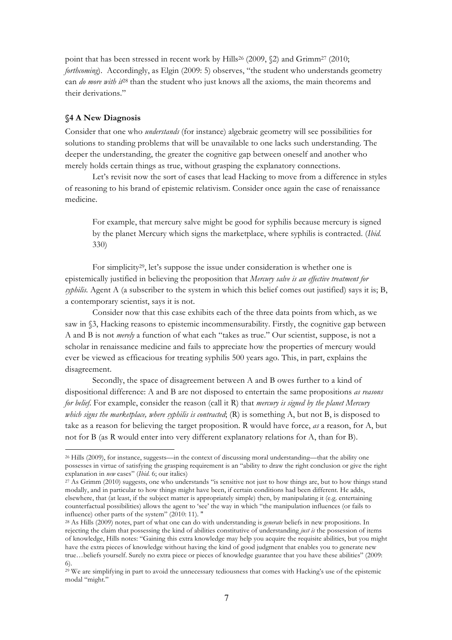point that has been stressed in recent work by Hills<sup>26</sup> (2009, §2) and Grimm<sup>27</sup> (2010; *forthcoming*). Accordingly, as Elgin (2009: 5) observes, "the student who understands geometry can *do more with it*<sup>28</sup> than the student who just knows all the axioms, the main theorems and their derivations."

### **§4 A New Diagnosis**

 $\overline{a}$ 

Consider that one who *understands* (for instance) algebraic geometry will see possibilities for solutions to standing problems that will be unavailable to one lacks such understanding. The deeper the understanding, the greater the cognitive gap between oneself and another who merely holds certain things as true, without grasping the explanatory connections.

Let's revisit now the sort of cases that lead Hacking to move from a difference in styles of reasoning to his brand of epistemic relativism. Consider once again the case of renaissance medicine.

For example, that mercury salve might be good for syphilis because mercury is signed by the planet Mercury which signs the marketplace, where syphilis is contracted. (*Ibid.*  330)

For simplicity<sup>29</sup>, let's suppose the issue under consideration is whether one is epistemically justified in believing the proposition that *Mercury salve is an effective treatment for syphilis.* Agent A (a subscriber to the system in which this belief comes out justified) says it is; B, a contemporary scientist, says it is not.

Consider now that this case exhibits each of the three data points from which, as we saw in §3, Hacking reasons to epistemic incommensurability. Firstly, the cognitive gap between A and B is not *merely* a function of what each "takes as true." Our scientist, suppose, is not a scholar in renaissance medicine and fails to appreciate how the properties of mercury would ever be viewed as efficacious for treating syphilis 500 years ago. This, in part, explains the disagreement.

Secondly, the space of disagreement between A and B owes further to a kind of dispositional difference: A and B are not disposed to entertain the same propositions *as reasons for belief*. For example, consider the reason (call it R) that *mercury is signed by the planet Mercury which signs the marketplace, where syphilis is contracted*; (R) is something A, but not B, is disposed to take as a reason for believing the target proposition. R would have force, *as* a reason, for A, but not for B (as R would enter into very different explanatory relations for A, than for B).

<sup>26</sup> Hills (2009), for instance, suggests—in the context of discussing moral understanding—that the ability one possesses in virtue of satisfying the grasping requirement is an "ability to draw the right conclusion or give the right explanation in *new* cases" (*Ibid.* 6; our italics)

<sup>27</sup> As Grimm (2010) suggests, one who understands "is sensitive not just to how things are, but to how things stand modally, and in particular to how things might have been, if certain conditions had been different. He adds, elsewhere, that (at least, if the subject matter is appropriately simple) then, by manipulating it (e.g. entertaining counterfactual possibilities) allows the agent to 'see' the way in which "the manipulation influences (or fails to influence) other parts of the system" (2010: 11). "

<sup>28</sup> As Hills (2009) notes, part of what one can do with understanding is *generate* beliefs in new propositions. In rejecting the claim that possessing the kind of abilities constitutive of understanding *just is* the possession of items of knowledge, Hills notes: "Gaining this extra knowledge may help you acquire the requisite abilities, but you might have the extra pieces of knowledge without having the kind of good judgment that enables you to generate new true…beliefs yourself. Surely no extra piece or pieces of knowledge guarantee that you have these abilities" (2009: 6).

<sup>29</sup> We are simplifying in part to avoid the unnecessary tediousness that comes with Hacking's use of the epistemic modal "might."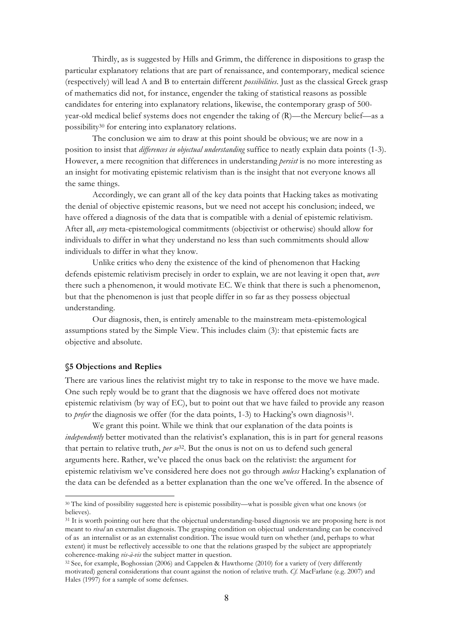Thirdly, as is suggested by Hills and Grimm, the difference in dispositions to grasp the particular explanatory relations that are part of renaissance, and contemporary, medical science (respectively) will lead A and B to entertain different *possibilities*. Just as the classical Greek grasp of mathematics did not, for instance, engender the taking of statistical reasons as possible candidates for entering into explanatory relations, likewise, the contemporary grasp of 500 year-old medical belief systems does not engender the taking of (R)—the Mercury belief—as a possibility30 for entering into explanatory relations.

The conclusion we aim to draw at this point should be obvious; we are now in a position to insist that *differences in objectual understanding* suffice to neatly explain data points (1-3). However, a mere recognition that differences in understanding *persist* is no more interesting as an insight for motivating epistemic relativism than is the insight that not everyone knows all the same things.

Accordingly, we can grant all of the key data points that Hacking takes as motivating the denial of objective epistemic reasons, but we need not accept his conclusion; indeed, we have offered a diagnosis of the data that is compatible with a denial of epistemic relativism. After all, *any* meta-epistemological commitments (objectivist or otherwise) should allow for individuals to differ in what they understand no less than such commitments should allow individuals to differ in what they know.

Unlike critics who deny the existence of the kind of phenomenon that Hacking defends epistemic relativism precisely in order to explain, we are not leaving it open that, *were*  there such a phenomenon, it would motivate EC. We think that there is such a phenomenon, but that the phenomenon is just that people differ in so far as they possess objectual understanding.

Our diagnosis, then, is entirely amenable to the mainstream meta-epistemological assumptions stated by the Simple View. This includes claim (3): that epistemic facts are objective and absolute.

### **§5 Objections and Replies**

 $\overline{a}$ 

There are various lines the relativist might try to take in response to the move we have made. One such reply would be to grant that the diagnosis we have offered does not motivate epistemic relativism (by way of EC), but to point out that we have failed to provide any reason to *prefer* the diagnosis we offer (for the data points, 1-3) to Hacking's own diagnosis<sup>31</sup>.

We grant this point. While we think that our explanation of the data points is *independently* better motivated than the relativist's explanation, this is in part for general reasons that pertain to relative truth, *per se*32. But the onus is not on us to defend such general arguments here. Rather, we've placed the onus back on the relativist: the argument for epistemic relativism we've considered here does not go through *unless* Hacking's explanation of the data can be defended as a better explanation than the one we've offered. In the absence of

<sup>30</sup> The kind of possibility suggested here is epistemic possibility—what is possible given what one knows (or believes).

<sup>&</sup>lt;sup>31</sup> It is worth pointing out here that the objectual understanding-based diagnosis we are proposing here is not meant to *rival* an externalist diagnosis. The grasping condition on objectual understanding can be conceived of as an internalist or as an externalist condition. The issue would turn on whether (and, perhaps to what extent) it must be reflectively accessible to one that the relations grasped by the subject are appropriately coherence-making *vis-à-vis* the subject matter in question. 32 See, for example, Boghossian (2006) and Cappelen & Hawthorne (2010) for a variety of (very differently

motivated) general considerations that count against the notion of relative truth. *Cf.* MacFarlane (e.g. 2007) and Hales (1997) for a sample of some defenses.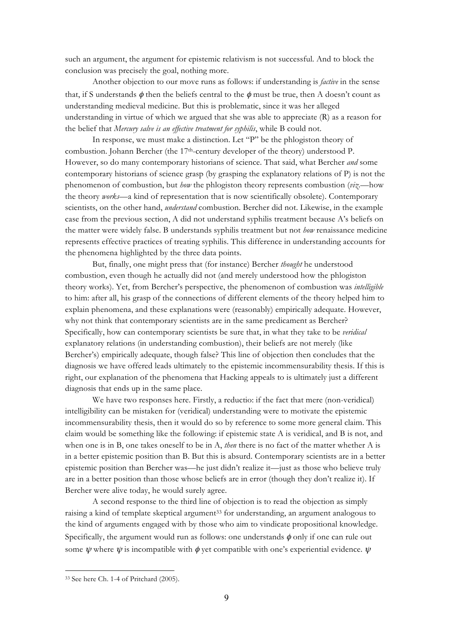such an argument, the argument for epistemic relativism is not successful. And to block the conclusion was precisely the goal, nothing more.

Another objection to our move runs as follows: if understanding is *factive* in the sense that, if S understands  $\phi$  then the beliefs central to the  $\phi$  must be true, then A doesn't count as understanding medieval medicine. But this is problematic, since it was her alleged understanding in virtue of which we argued that she was able to appreciate (R) as a reason for the belief that *Mercury salve is an effective treatment for syphilis*, while B could not.

In response, we must make a distinction. Let "P" be the phlogiston theory of combustion. Johann Bercher (the 17th-century developer of the theory) understood P. However, so do many contemporary historians of science. That said, what Bercher *and* some contemporary historians of science grasp (by grasping the explanatory relations of P) is not the phenomenon of combustion, but *how* the phlogiston theory represents combustion (*viz*.—how the theory *works*—a kind of representation that is now scientifically obsolete). Contemporary scientists, on the other hand, *understand* combustion. Bercher did not. Likewise, in the example case from the previous section, A did not understand syphilis treatment because A's beliefs on the matter were widely false. B understands syphilis treatment but not *how* renaissance medicine represents effective practices of treating syphilis. This difference in understanding accounts for the phenomena highlighted by the three data points.

But, finally, one might press that (for instance) Bercher *thought* he understood combustion, even though he actually did not (and merely understood how the phlogiston theory works). Yet, from Bercher's perspective, the phenomenon of combustion was *intelligible* to him: after all, his grasp of the connections of different elements of the theory helped him to explain phenomena, and these explanations were (reasonably) empirically adequate. However, why not think that contemporary scientists are in the same predicament as Bercher? Specifically, how can contemporary scientists be sure that, in what they take to be *veridical* explanatory relations (in understanding combustion), their beliefs are not merely (like Bercher's) empirically adequate, though false? This line of objection then concludes that the diagnosis we have offered leads ultimately to the epistemic incommensurability thesis. If this is right, our explanation of the phenomena that Hacking appeals to is ultimately just a different diagnosis that ends up in the same place.

We have two responses here. Firstly, a reductio: if the fact that mere (non-veridical) intelligibility can be mistaken for (veridical) understanding were to motivate the epistemic incommensurability thesis, then it would do so by reference to some more general claim. This claim would be something like the following: if epistemic state A is veridical, and B is not, and when one is in B, one takes oneself to be in A, *then* there is no fact of the matter whether A is in a better epistemic position than B. But this is absurd. Contemporary scientists are in a better epistemic position than Bercher was—he just didn't realize it—just as those who believe truly are in a better position than those whose beliefs are in error (though they don't realize it). If Bercher were alive today, he would surely agree.

A second response to the third line of objection is to read the objection as simply raising a kind of template skeptical argument<sup>33</sup> for understanding, an argument analogous to the kind of arguments engaged with by those who aim to vindicate propositional knowledge. Specifically, the argument would run as follows: one understands  $\phi$  only if one can rule out some  $\psi$  where  $\psi$  is incompatible with  $\phi$  yet compatible with one's experiential evidence.  $\psi$ 

<sup>33</sup> See here Ch. 1-4 of Pritchard (2005).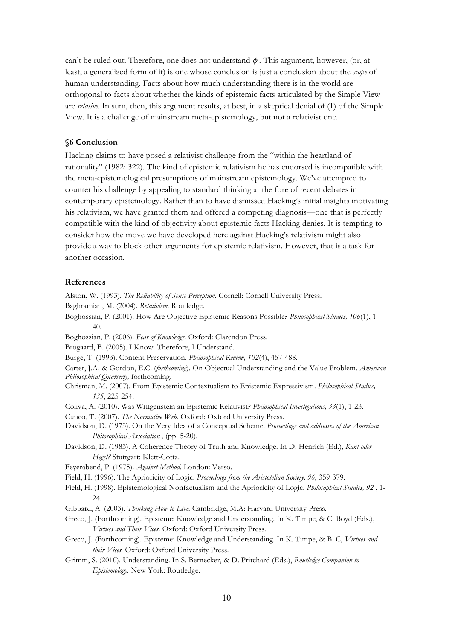can't be ruled out. Therefore, one does not understand  $\phi$ . This argument, however, (or, at least, a generalized form of it) is one whose conclusion is just a conclusion about the *scope* of human understanding. Facts about how much understanding there is in the world are orthogonal to facts about whether the kinds of epistemic facts articulated by the Simple View are *relative.* In sum, then, this argument results, at best, in a skeptical denial of (1) of the Simple View. It is a challenge of mainstream meta-epistemology, but not a relativist one.

### **§6 Conclusion**

Hacking claims to have posed a relativist challenge from the "within the heartland of rationality" (1982: 322). The kind of epistemic relativism he has endorsed is incompatible with the meta-epistemological presumptions of mainstream epistemology. We've attempted to counter his challenge by appealing to standard thinking at the fore of recent debates in contemporary epistemology. Rather than to have dismissed Hacking's initial insights motivating his relativism, we have granted them and offered a competing diagnosis—one that is perfectly compatible with the kind of objectivity about epistemic facts Hacking denies. It is tempting to consider how the move we have developed here against Hacking's relativism might also provide a way to block other arguments for epistemic relativism. However, that is a task for another occasion.

#### **References**

Alston, W. (1993). *The Reliability of Sense Perception.* Cornell: Cornell University Press.

- Baghramian, M. (2004). *Relativism.* Routledge.
- Boghossian, P. (2001). How Are Objective Epistemic Reasons Possible? *Philosophical Studies, 106*(1), 1- 40.
- Boghossian, P. (2006). *Fear of Knowledge.* Oxford: Clarendon Press.

Brogaard, B. (2005). I Know. Therefore, I Understand.

Burge, T. (1993). Content Preservation. *Philosophical Review, 102*(4), 457-488.

Carter, J.A. & Gordon, E.C. (*forthcoming*). On Objectual Understanding and the Value Problem. *American Philosophical Quarterly,* forthcoming.

- Chrisman, M. (2007). From Epistemic Contextualism to Epistemic Expressivism. *Philosophical Studies, 135*, 225-254.
- Coliva, A. (2010). Was Wittgenstein an Epistemic Relativist? *Philosophical Investigations, 33*(1), 1-23.

Cuneo, T. (2007). *The Normative Web.* Oxford: Oxford University Press.

- Davidson, D. (1973). On the Very Idea of a Conceptual Scheme. *Proceedings and addresses of the American Philosophical Association* , (pp. 5-20).
- Davidson, D. (1983). A Coherence Theory of Truth and Knowledge. In D. Henrich (Ed.), *Kant oder Hegel?* Stuttgart: Klett-Cotta.
- Feyerabend, P. (1975). *Against Method.* London: Verso.
- Field, H. (1996). The Aprioricity of Logic. *Proceedings from the Aristotelian Society, 96*, 359-379.
- Field, H. (1998). Epistemological Nonfactualism and the Aprioricity of Logic. *Philosophical Studies, 92* , 1- 24.
- Gibbard, A. (2003). *Thinking How to Live.* Cambridge, M.A: Harvard University Press.
- Greco, J. (Forthcoming). Episteme: Knowledge and Understanding. In K. Timpe, & C. Boyd (Eds.), *Virtues and Their Vices.* Oxford: Oxford University Press.
- Greco, J. (Forthcoming). Episteme: Knowledge and Understanding. In K. Timpe, & B. C, *Virtues and their Vices.* Oxford: Oxford University Press.
- Grimm, S. (2010). Understanding. In S. Bernecker, & D. Pritchard (Eds.), *Routledge Companion to Epistemology.* New York: Routledge.